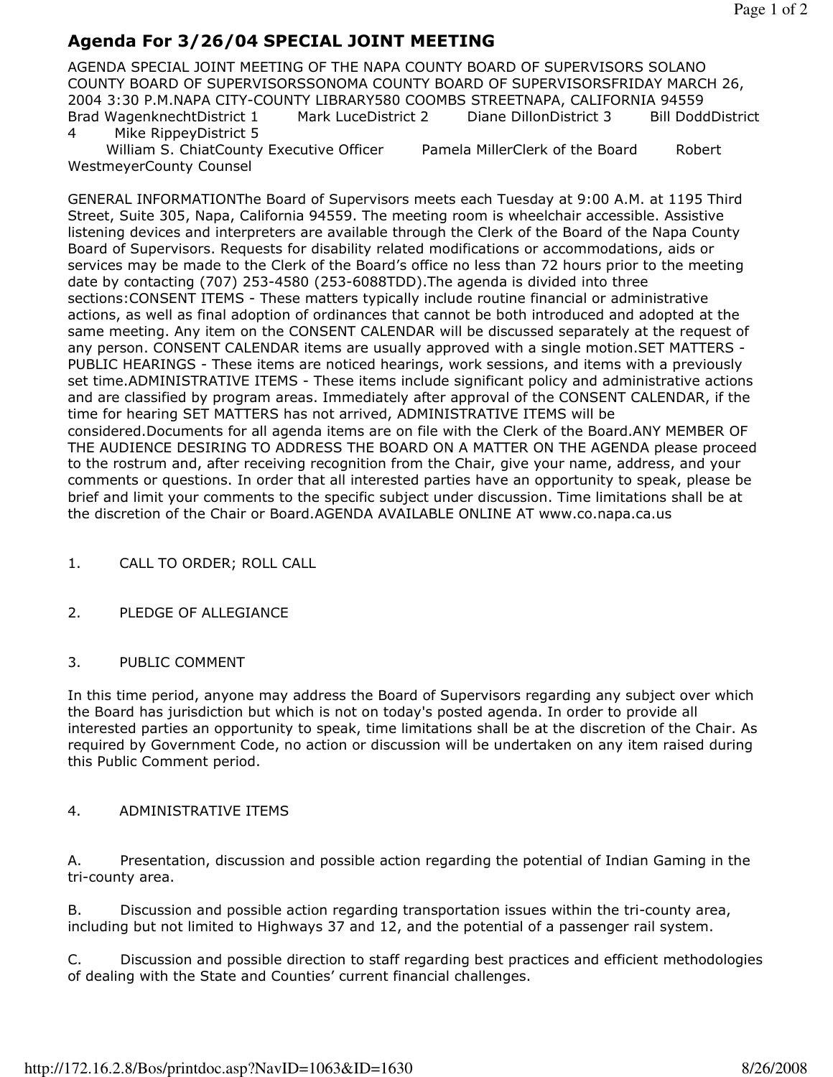# Agenda For 3/26/04 SPECIAL JOINT MEETING

AGENDA SPECIAL JOINT MEETING OF THE NAPA COUNTY BOARD OF SUPERVISORS SOLANO COUNTY BOARD OF SUPERVISORSSONOMA COUNTY BOARD OF SUPERVISORSFRIDAY MARCH 26, 2004 3:30 P.M.NAPA CITY-COUNTY LIBRARY580 COOMBS STREETNAPA, CALIFORNIA 94559 Brad WagenknechtDistrict 1 Mark LuceDistrict 2 Diane DillonDistrict 3 Bill DoddDistrict 4 Mike RippeyDistrict 5

William S. ChiatCounty Executive Officer Pamela MillerClerk of the Board Robert WestmeyerCounty Counsel

GENERAL INFORMATIONThe Board of Supervisors meets each Tuesday at 9:00 A.M. at 1195 Third Street, Suite 305, Napa, California 94559. The meeting room is wheelchair accessible. Assistive listening devices and interpreters are available through the Clerk of the Board of the Napa County Board of Supervisors. Requests for disability related modifications or accommodations, aids or services may be made to the Clerk of the Board's office no less than 72 hours prior to the meeting date by contacting (707) 253-4580 (253-6088TDD).The agenda is divided into three sections:CONSENT ITEMS - These matters typically include routine financial or administrative actions, as well as final adoption of ordinances that cannot be both introduced and adopted at the same meeting. Any item on the CONSENT CALENDAR will be discussed separately at the request of any person. CONSENT CALENDAR items are usually approved with a single motion.SET MATTERS - PUBLIC HEARINGS - These items are noticed hearings, work sessions, and items with a previously set time.ADMINISTRATIVE ITEMS - These items include significant policy and administrative actions and are classified by program areas. Immediately after approval of the CONSENT CALENDAR, if the time for hearing SET MATTERS has not arrived, ADMINISTRATIVE ITEMS will be considered.Documents for all agenda items are on file with the Clerk of the Board.ANY MEMBER OF THE AUDIENCE DESIRING TO ADDRESS THE BOARD ON A MATTER ON THE AGENDA please proceed to the rostrum and, after receiving recognition from the Chair, give your name, address, and your comments or questions. In order that all interested parties have an opportunity to speak, please be brief and limit your comments to the specific subject under discussion. Time limitations shall be at the discretion of the Chair or Board.AGENDA AVAILABLE ONLINE AT www.co.napa.ca.us

1. CALL TO ORDER; ROLL CALL

### 2. PLEDGE OF ALLEGIANCE

#### 3. PUBLIC COMMENT

In this time period, anyone may address the Board of Supervisors regarding any subject over which the Board has jurisdiction but which is not on today's posted agenda. In order to provide all interested parties an opportunity to speak, time limitations shall be at the discretion of the Chair. As required by Government Code, no action or discussion will be undertaken on any item raised during this Public Comment period.

#### 4. ADMINISTRATIVE ITEMS

A. Presentation, discussion and possible action regarding the potential of Indian Gaming in the tri-county area.

B. Discussion and possible action regarding transportation issues within the tri-county area, including but not limited to Highways 37 and 12, and the potential of a passenger rail system.

C. Discussion and possible direction to staff regarding best practices and efficient methodologies of dealing with the State and Counties' current financial challenges.